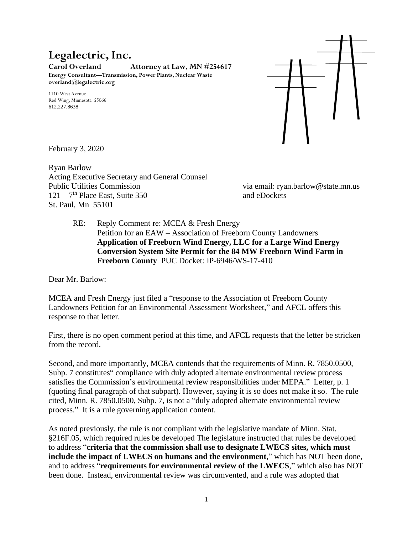## **Legalectric, Inc.**

**Carol Overland Attorney at Law, MN #254617 Energy Consultant—Transmission, Power Plants, Nuclear Waste overland@legalectric.org**

1110 West Avenue Red Wing, Minnesota 55066 612.227.8638



February 3, 2020

Ryan Barlow Acting Executive Secretary and General Counsel Public Utilities Commission via email: ryan.barlow@state.mn.us 121 – 7<sup>th</sup> Place East, Suite 350 and eDockets St. Paul, Mn 55101

RE: Reply Comment re: MCEA & Fresh Energy Petition for an EAW – Association of Freeborn County Landowners **Application of Freeborn Wind Energy, LLC for a Large Wind Energy Conversion System Site Permit for the 84 MW Freeborn Wind Farm in Freeborn County** PUC Docket: IP-6946/WS-17-410

Dear Mr. Barlow:

MCEA and Fresh Energy just filed a "response to the Association of Freeborn County Landowners Petition for an Environmental Assessment Worksheet," and AFCL offers this response to that letter.

First, there is no open comment period at this time, and AFCL requests that the letter be stricken from the record.

Second, and more importantly, MCEA contends that the requirements of Minn. R. 7850.0500, Subp. 7 constitutes" compliance with duly adopted alternate environmental review process satisfies the Commission's environmental review responsibilities under MEPA." Letter, p. 1 (quoting final paragraph of that subpart). However, saying it is so does not make it so. The rule cited, Minn. R. 7850.0500, Subp. 7, is not a "duly adopted alternate environmental review process." It is a rule governing application content.

As noted previously, the rule is not compliant with the legislative mandate of Minn. Stat. §216F.05, which required rules be developed The legislature instructed that rules be developed to address "**criteria that the commission shall use to designate LWECS sites, which must include the impact of LWECS on humans and the environment**," which has NOT been done, and to address "**requirements for environmental review of the LWECS**," which also has NOT been done. Instead, environmental review was circumvented, and a rule was adopted that